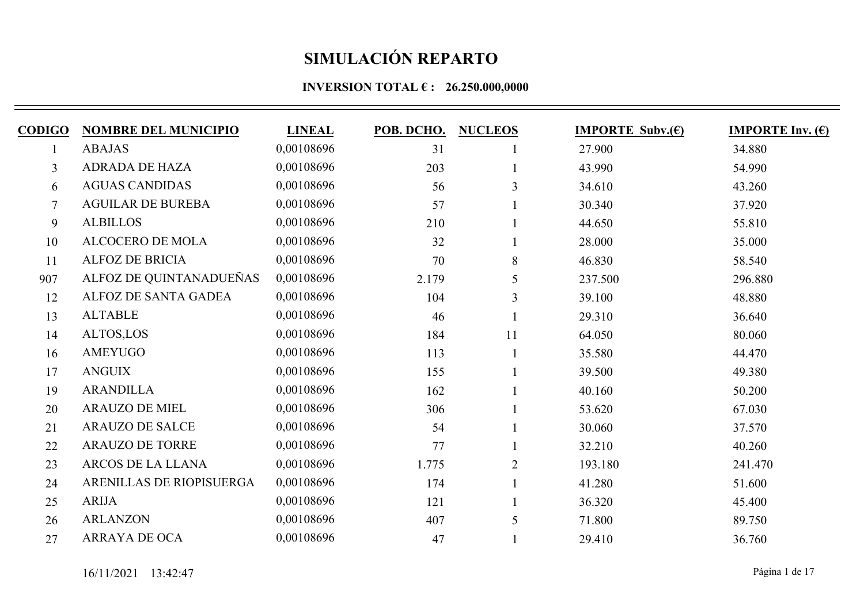| <b>CODIGO</b>  | <b>NOMBRE DEL MUNICIPIO</b> | <b>LINEAL</b> | POB. DCHO. | <b>NUCLEOS</b> | <b>IMPORTE Subv.(€)</b> | <b>IMPORTE Inv. <math>(E)</math></b> |
|----------------|-----------------------------|---------------|------------|----------------|-------------------------|--------------------------------------|
|                | <b>ABAJAS</b>               | 0,00108696    | 31         |                | 27.900                  | 34.880                               |
| $\overline{3}$ | <b>ADRADA DE HAZA</b>       | 0,00108696    | 203        |                | 43.990                  | 54.990                               |
| 6              | <b>AGUAS CANDIDAS</b>       | 0,00108696    | 56         | 3              | 34.610                  | 43.260                               |
| $\tau$         | <b>AGUILAR DE BUREBA</b>    | 0,00108696    | 57         |                | 30.340                  | 37.920                               |
| 9              | <b>ALBILLOS</b>             | 0,00108696    | 210        |                | 44.650                  | 55.810                               |
| 10             | <b>ALCOCERO DE MOLA</b>     | 0,00108696    | 32         |                | 28.000                  | 35.000                               |
| 11             | <b>ALFOZ DE BRICIA</b>      | 0,00108696    | 70         | 8              | 46.830                  | 58.540                               |
| 907            | ALFOZ DE QUINTANADUEÑAS     | 0,00108696    | 2.179      | 5              | 237.500                 | 296.880                              |
| 12             | ALFOZ DE SANTA GADEA        | 0,00108696    | 104        | 3              | 39.100                  | 48.880                               |
| 13             | <b>ALTABLE</b>              | 0,00108696    | 46         |                | 29.310                  | 36.640                               |
| 14             | ALTOS,LOS                   | 0,00108696    | 184        | 11             | 64.050                  | 80.060                               |
| 16             | AMEYUGO                     | 0,00108696    | 113        |                | 35.580                  | 44.470                               |
| 17             | <b>ANGUIX</b>               | 0,00108696    | 155        |                | 39.500                  | 49.380                               |
| 19             | <b>ARANDILLA</b>            | 0,00108696    | 162        |                | 40.160                  | 50.200                               |
| 20             | <b>ARAUZO DE MIEL</b>       | 0,00108696    | 306        |                | 53.620                  | 67.030                               |
| 21             | <b>ARAUZO DE SALCE</b>      | 0,00108696    | 54         |                | 30.060                  | 37.570                               |
| 22             | <b>ARAUZO DE TORRE</b>      | 0,00108696    | 77         |                | 32.210                  | 40.260                               |
| 23             | ARCOS DE LA LLANA           | 0,00108696    | 1.775      | $\overline{2}$ | 193.180                 | 241.470                              |
| 24             | ARENILLAS DE RIOPISUERGA    | 0,00108696    | 174        |                | 41.280                  | 51.600                               |
| 25             | <b>ARIJA</b>                | 0,00108696    | 121        |                | 36.320                  | 45.400                               |
| 26             | <b>ARLANZON</b>             | 0,00108696    | 407        | 5              | 71.800                  | 89.750                               |
| 27             | <b>ARRAYA DE OCA</b>        | 0,00108696    | 47         |                | 29.410                  | 36.760                               |
|                |                             |               |            |                |                         |                                      |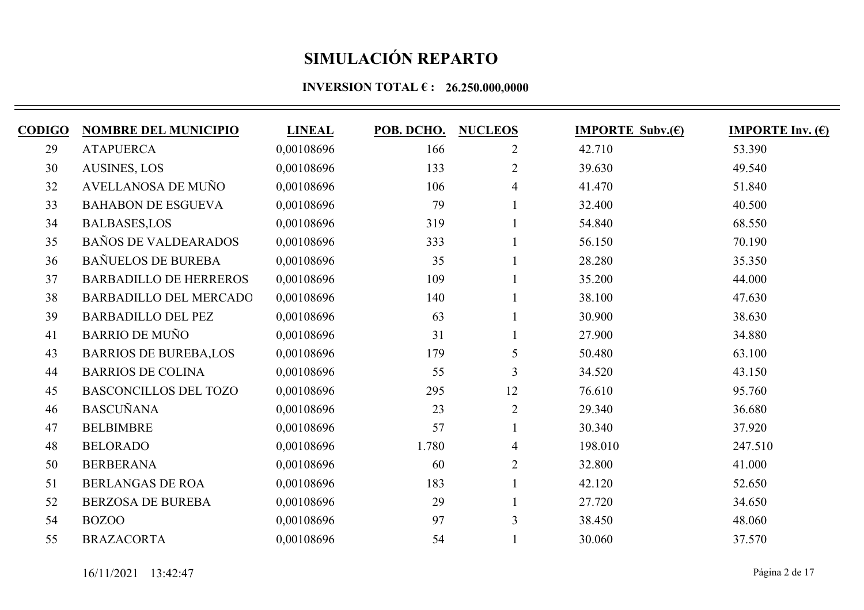| <b>CODIGO</b> | <b>NOMBRE DEL MUNICIPIO</b>   | <b>LINEAL</b> | POB. DCHO. | <b>NUCLEOS</b> | <b>IMPORTE Subv.(E)</b> | <b>IMPORTE Inv.</b> $(\epsilon)$ |
|---------------|-------------------------------|---------------|------------|----------------|-------------------------|----------------------------------|
| 29            | <b>ATAPUERCA</b>              | 0,00108696    | 166        | $\overline{2}$ | 42.710                  | 53.390                           |
| 30            | <b>AUSINES, LOS</b>           | 0,00108696    | 133        | $\overline{2}$ | 39.630                  | 49.540                           |
| 32            | AVELLANOSA DE MUÑO            | 0,00108696    | 106        | 4              | 41.470                  | 51.840                           |
| 33            | <b>BAHABON DE ESGUEVA</b>     | 0,00108696    | 79         |                | 32.400                  | 40.500                           |
| 34            | <b>BALBASES,LOS</b>           | 0.00108696    | 319        |                | 54.840                  | 68.550                           |
| 35            | <b>BAÑOS DE VALDEARADOS</b>   | 0,00108696    | 333        |                | 56.150                  | 70.190                           |
| 36            | <b>BAÑUELOS DE BUREBA</b>     | 0.00108696    | 35         |                | 28.280                  | 35.350                           |
| 37            | <b>BARBADILLO DE HERREROS</b> | 0,00108696    | 109        |                | 35.200                  | 44.000                           |
| 38            | <b>BARBADILLO DEL MERCADO</b> | 0,00108696    | 140        |                | 38.100                  | 47.630                           |
| 39            | <b>BARBADILLO DEL PEZ</b>     | 0,00108696    | 63         |                | 30.900                  | 38.630                           |
| 41            | <b>BARRIO DE MUÑO</b>         | 0,00108696    | 31         |                | 27.900                  | 34.880                           |
| 43            | <b>BARRIOS DE BUREBA,LOS</b>  | 0,00108696    | 179        | 5              | 50.480                  | 63.100                           |
| 44            | <b>BARRIOS DE COLINA</b>      | 0,00108696    | 55         | 3              | 34.520                  | 43.150                           |
| 45            | <b>BASCONCILLOS DEL TOZO</b>  | 0,00108696    | 295        | 12             | 76.610                  | 95.760                           |
| 46            | <b>BASCUÑANA</b>              | 0,00108696    | 23         | $\overline{2}$ | 29.340                  | 36.680                           |
| 47            | <b>BELBIMBRE</b>              | 0,00108696    | 57         |                | 30.340                  | 37.920                           |
| 48            | <b>BELORADO</b>               | 0,00108696    | 1.780      | 4              | 198.010                 | 247.510                          |
| 50            | <b>BERBERANA</b>              | 0,00108696    | 60         | $\overline{2}$ | 32.800                  | 41.000                           |
| 51            | <b>BERLANGAS DE ROA</b>       | 0,00108696    | 183        |                | 42.120                  | 52.650                           |
| 52            | <b>BERZOSA DE BUREBA</b>      | 0,00108696    | 29         |                | 27.720                  | 34.650                           |
| 54            | <b>BOZOO</b>                  | 0,00108696    | 97         | $\overline{3}$ | 38.450                  | 48.060                           |
| 55            | <b>BRAZACORTA</b>             | 0,00108696    | 54         |                | 30.060                  | 37.570                           |
|               |                               |               |            |                |                         |                                  |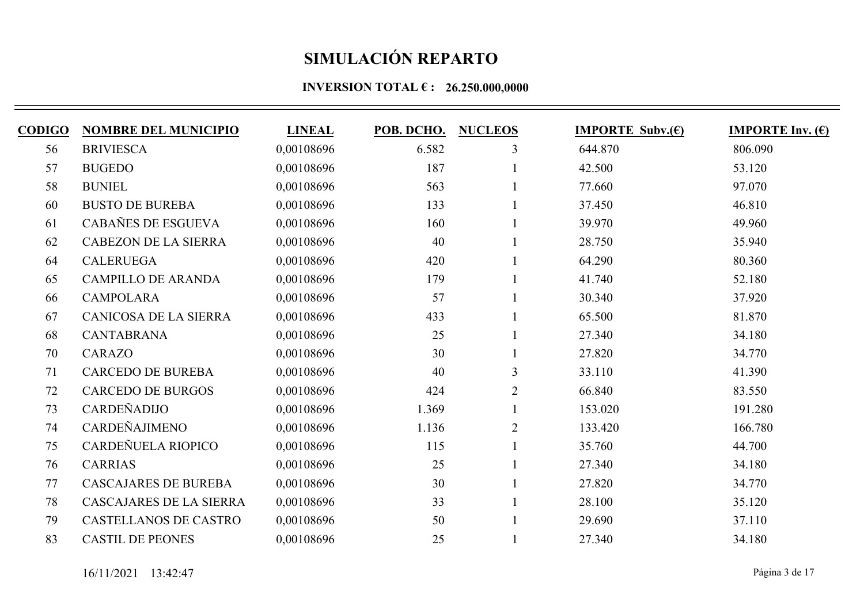| <b>CODIGO</b> | <b>NOMBRE DEL MUNICIPIO</b>    | <b>LINEAL</b> | POB. DCHO. | <b>NUCLEOS</b> | <b>IMPORTE Subv.</b> $(\epsilon)$ | <b>IMPORTE Inv. <math>(E)</math></b> |
|---------------|--------------------------------|---------------|------------|----------------|-----------------------------------|--------------------------------------|
| 56            | <b>BRIVIESCA</b>               | 0,00108696    | 6.582      | 3              | 644.870                           | 806.090                              |
| 57            | <b>BUGEDO</b>                  | 0,00108696    | 187        |                | 42.500                            | 53.120                               |
| 58            | <b>BUNIEL</b>                  | 0,00108696    | 563        |                | 77.660                            | 97.070                               |
| 60            | <b>BUSTO DE BUREBA</b>         | 0,00108696    | 133        |                | 37.450                            | 46.810                               |
| 61            | CABAÑES DE ESGUEVA             | 0,00108696    | 160        |                | 39.970                            | 49.960                               |
| 62            | <b>CABEZON DE LA SIERRA</b>    | 0,00108696    | 40         |                | 28.750                            | 35.940                               |
| 64            | <b>CALERUEGA</b>               | 0,00108696    | 420        |                | 64.290                            | 80.360                               |
| 65            | <b>CAMPILLO DE ARANDA</b>      | 0,00108696    | 179        |                | 41.740                            | 52.180                               |
| 66            | <b>CAMPOLARA</b>               | 0,00108696    | 57         |                | 30.340                            | 37.920                               |
| 67            | <b>CANICOSA DE LA SIERRA</b>   | 0,00108696    | 433        |                | 65.500                            | 81.870                               |
| 68            | <b>CANTABRANA</b>              | 0,00108696    | 25         |                | 27.340                            | 34.180                               |
| 70            | <b>CARAZO</b>                  | 0,00108696    | 30         |                | 27.820                            | 34.770                               |
| 71            | <b>CARCEDO DE BUREBA</b>       | 0,00108696    | 40         | 3              | 33.110                            | 41.390                               |
| 72            | <b>CARCEDO DE BURGOS</b>       | 0,00108696    | 424        | $\overline{2}$ | 66.840                            | 83.550                               |
| 73            | CARDEÑADIJO                    | 0,00108696    | 1.369      |                | 153.020                           | 191.280                              |
| 74            | CARDEÑAJIMENO                  | 0,00108696    | 1.136      | $\overline{2}$ | 133.420                           | 166.780                              |
| 75            | CARDEÑUELA RIOPICO             | 0,00108696    | 115        |                | 35.760                            | 44.700                               |
| 76            | <b>CARRIAS</b>                 | 0,00108696    | 25         |                | 27.340                            | 34.180                               |
| 77            | <b>CASCAJARES DE BUREBA</b>    | 0,00108696    | 30         |                | 27.820                            | 34.770                               |
| 78            | <b>CASCAJARES DE LA SIERRA</b> | 0,00108696    | 33         |                | 28.100                            | 35.120                               |
| 79            | <b>CASTELLANOS DE CASTRO</b>   | 0,00108696    | 50         |                | 29.690                            | 37.110                               |
| 83            | <b>CASTIL DE PEONES</b>        | 0,00108696    | 25         |                | 27.340                            | 34.180                               |
|               |                                |               |            |                |                                   |                                      |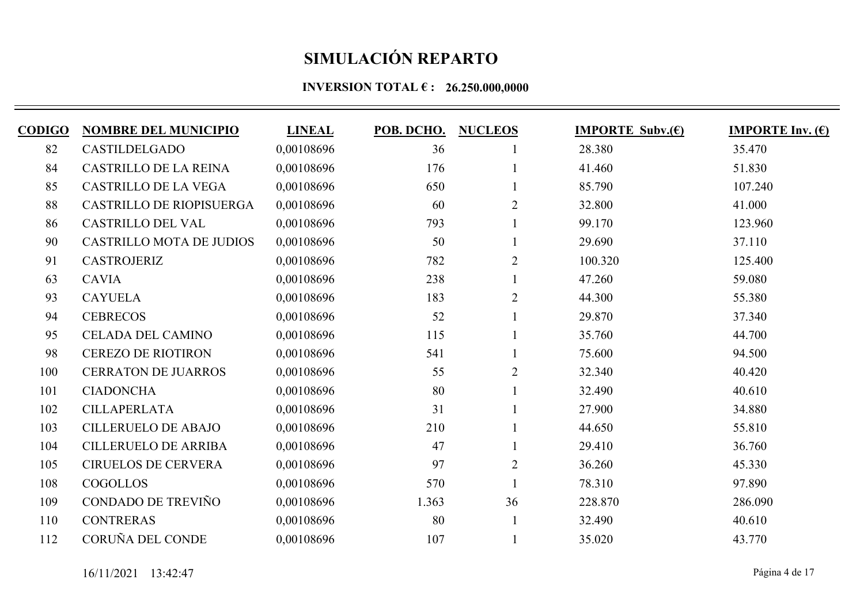| <b>CODIGO</b> | <b>NOMBRE DEL MUNICIPIO</b>     | <b>LINEAL</b> | POB. DCHO. | <b>NUCLEOS</b> | <b>IMPORTE Subv.(E)</b> | <b>IMPORTE Inv.</b> $(\epsilon)$ |
|---------------|---------------------------------|---------------|------------|----------------|-------------------------|----------------------------------|
| 82            | <b>CASTILDELGADO</b>            | 0,00108696    | 36         |                | 28.380                  | 35.470                           |
| 84            | <b>CASTRILLO DE LA REINA</b>    | 0,00108696    | 176        |                | 41.460                  | 51.830                           |
| 85            | <b>CASTRILLO DE LA VEGA</b>     | 0,00108696    | 650        |                | 85.790                  | 107.240                          |
| 88            | CASTRILLO DE RIOPISUERGA        | 0,00108696    | 60         | $\overline{2}$ | 32.800                  | 41.000                           |
| 86            | <b>CASTRILLO DEL VAL</b>        | 0,00108696    | 793        |                | 99.170                  | 123.960                          |
| 90            | <b>CASTRILLO MOTA DE JUDIOS</b> | 0,00108696    | 50         |                | 29.690                  | 37.110                           |
| 91            | <b>CASTROJERIZ</b>              | 0,00108696    | 782        | $\overline{2}$ | 100.320                 | 125.400                          |
| 63            | <b>CAVIA</b>                    | 0,00108696    | 238        |                | 47.260                  | 59.080                           |
| 93            | <b>CAYUELA</b>                  | 0,00108696    | 183        | $\overline{2}$ | 44.300                  | 55.380                           |
| 94            | <b>CEBRECOS</b>                 | 0,00108696    | 52         |                | 29.870                  | 37.340                           |
| 95            | <b>CELADA DEL CAMINO</b>        | 0,00108696    | 115        |                | 35.760                  | 44.700                           |
| 98            | <b>CEREZO DE RIOTIRON</b>       | 0,00108696    | 541        |                | 75.600                  | 94.500                           |
| 100           | <b>CERRATON DE JUARROS</b>      | 0,00108696    | 55         | $\overline{2}$ | 32.340                  | 40.420                           |
| 101           | <b>CIADONCHA</b>                | 0,00108696    | 80         |                | 32.490                  | 40.610                           |
| 102           | <b>CILLAPERLATA</b>             | 0,00108696    | 31         |                | 27.900                  | 34.880                           |
| 103           | <b>CILLERUELO DE ABAJO</b>      | 0,00108696    | 210        |                | 44.650                  | 55.810                           |
| 104           | <b>CILLERUELO DE ARRIBA</b>     | 0,00108696    | 47         |                | 29.410                  | 36.760                           |
| 105           | <b>CIRUELOS DE CERVERA</b>      | 0,00108696    | 97         | $\overline{2}$ | 36.260                  | 45.330                           |
| 108           | <b>COGOLLOS</b>                 | 0,00108696    | 570        |                | 78.310                  | 97.890                           |
| 109           | CONDADO DE TREVIÑO              | 0,00108696    | 1.363      | 36             | 228.870                 | 286.090                          |
| 110           | <b>CONTRERAS</b>                | 0,00108696    | 80         |                | 32.490                  | 40.610                           |
| 112           | CORUÑA DEL CONDE                | 0,00108696    | 107        |                | 35.020                  | 43.770                           |
|               |                                 |               |            |                |                         |                                  |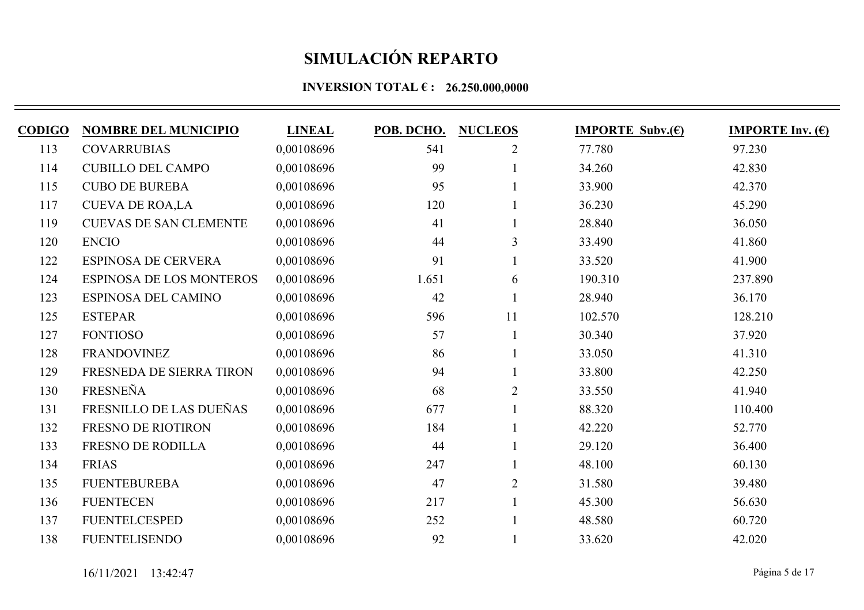| <b>CODIGO</b> | <b>NOMBRE DEL MUNICIPIO</b>     | <b>LINEAL</b> | POB. DCHO. | <b>NUCLEOS</b> | <b>IMPORTE Subv.(E)</b> | <b>IMPORTE Inv.</b> $(\epsilon)$ |
|---------------|---------------------------------|---------------|------------|----------------|-------------------------|----------------------------------|
| 113           | <b>COVARRUBIAS</b>              | 0,00108696    | 541        | $\overline{2}$ | 77.780                  | 97.230                           |
| 114           | <b>CUBILLO DEL CAMPO</b>        | 0,00108696    | 99         |                | 34.260                  | 42.830                           |
| 115           | <b>CUBO DE BUREBA</b>           | 0,00108696    | 95         |                | 33.900                  | 42.370                           |
| 117           | <b>CUEVA DE ROA,LA</b>          | 0,00108696    | 120        |                | 36.230                  | 45.290                           |
| 119           | <b>CUEVAS DE SAN CLEMENTE</b>   | 0,00108696    | 41         |                | 28.840                  | 36.050                           |
| 120           | <b>ENCIO</b>                    | 0,00108696    | 44         | 3              | 33.490                  | 41.860                           |
| 122           | <b>ESPINOSA DE CERVERA</b>      | 0,00108696    | 91         |                | 33.520                  | 41.900                           |
| 124           | <b>ESPINOSA DE LOS MONTEROS</b> | 0,00108696    | 1.651      | 6              | 190.310                 | 237.890                          |
| 123           | ESPINOSA DEL CAMINO             | 0,00108696    | 42         |                | 28.940                  | 36.170                           |
| 125           | <b>ESTEPAR</b>                  | 0,00108696    | 596        | 11             | 102.570                 | 128.210                          |
| 127           | <b>FONTIOSO</b>                 | 0,00108696    | 57         |                | 30.340                  | 37.920                           |
| 128           | <b>FRANDOVINEZ</b>              | 0,00108696    | 86         |                | 33.050                  | 41.310                           |
| 129           | FRESNEDA DE SIERRA TIRON        | 0,00108696    | 94         |                | 33.800                  | 42.250                           |
| 130           | <b>FRESNEÑA</b>                 | 0,00108696    | 68         | $\overline{2}$ | 33.550                  | 41.940                           |
| 131           | FRESNILLO DE LAS DUEÑAS         | 0,00108696    | 677        |                | 88.320                  | 110.400                          |
| 132           | <b>FRESNO DE RIOTIRON</b>       | 0,00108696    | 184        |                | 42.220                  | 52.770                           |
| 133           | <b>FRESNO DE RODILLA</b>        | 0,00108696    | 44         |                | 29.120                  | 36.400                           |
| 134           | <b>FRIAS</b>                    | 0,00108696    | 247        |                | 48.100                  | 60.130                           |
| 135           | <b>FUENTEBUREBA</b>             | 0,00108696    | 47         | $\overline{2}$ | 31.580                  | 39.480                           |
| 136           | <b>FUENTECEN</b>                | 0,00108696    | 217        |                | 45.300                  | 56.630                           |
| 137           | <b>FUENTELCESPED</b>            | 0,00108696    | 252        |                | 48.580                  | 60.720                           |
| 138           | <b>FUENTELISENDO</b>            | 0,00108696    | 92         |                | 33.620                  | 42.020                           |
|               |                                 |               |            |                |                         |                                  |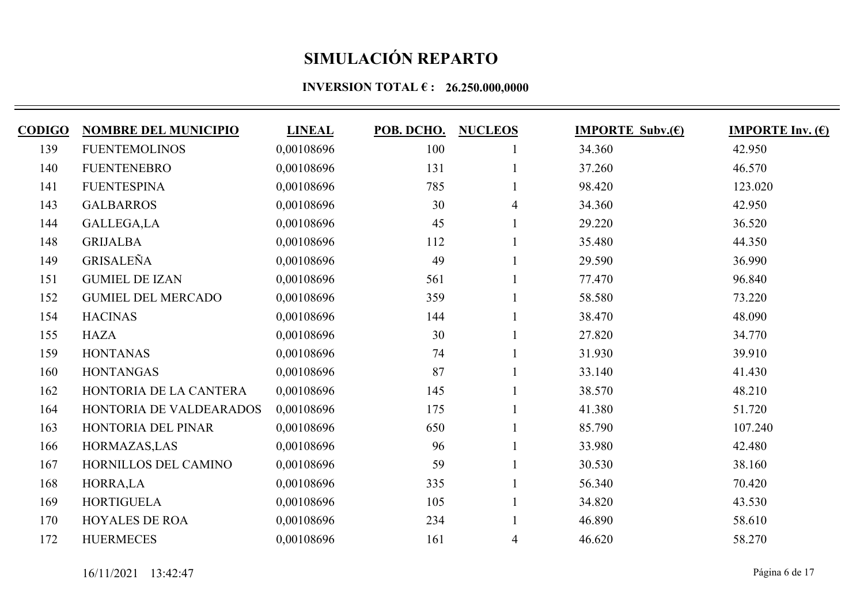| <b>CODIGO</b> | <b>NOMBRE DEL MUNICIPIO</b> | <b>LINEAL</b> | POB. DCHO. | <b>NUCLEOS</b> | <b>IMPORTE Subv.(E)</b> | <b>IMPORTE Inv. <math>(E)</math></b> |
|---------------|-----------------------------|---------------|------------|----------------|-------------------------|--------------------------------------|
| 139           | <b>FUENTEMOLINOS</b>        | 0,00108696    | 100        |                | 34.360                  | 42.950                               |
| 140           | <b>FUENTENEBRO</b>          | 0,00108696    | 131        |                | 37.260                  | 46.570                               |
| 141           | <b>FUENTESPINA</b>          | 0,00108696    | 785        |                | 98.420                  | 123.020                              |
| 143           | <b>GALBARROS</b>            | 0,00108696    | 30         | $\overline{4}$ | 34.360                  | 42.950                               |
| 144           | GALLEGA,LA                  | 0,00108696    | 45         |                | 29.220                  | 36.520                               |
| 148           | <b>GRIJALBA</b>             | 0,00108696    | 112        |                | 35.480                  | 44.350                               |
| 149           | <b>GRISALEÑA</b>            | 0,00108696    | 49         |                | 29.590                  | 36.990                               |
| 151           | <b>GUMIEL DE IZAN</b>       | 0,00108696    | 561        |                | 77.470                  | 96.840                               |
| 152           | <b>GUMIEL DEL MERCADO</b>   | 0,00108696    | 359        |                | 58.580                  | 73.220                               |
| 154           | <b>HACINAS</b>              | 0,00108696    | 144        |                | 38.470                  | 48.090                               |
| 155           | <b>HAZA</b>                 | 0,00108696    | 30         |                | 27.820                  | 34.770                               |
| 159           | <b>HONTANAS</b>             | 0,00108696    | 74         |                | 31.930                  | 39.910                               |
| 160           | <b>HONTANGAS</b>            | 0,00108696    | 87         |                | 33.140                  | 41.430                               |
| 162           | HONTORIA DE LA CANTERA      | 0,00108696    | 145        |                | 38.570                  | 48.210                               |
| 164           | HONTORIA DE VALDEARADOS     | 0,00108696    | 175        |                | 41.380                  | 51.720                               |
| 163           | HONTORIA DEL PINAR          | 0,00108696    | 650        |                | 85.790                  | 107.240                              |
| 166           | HORMAZAS, LAS               | 0,00108696    | 96         |                | 33.980                  | 42.480                               |
| 167           | HORNILLOS DEL CAMINO        | 0,00108696    | 59         |                | 30.530                  | 38.160                               |
| 168           | HORRA,LA                    | 0,00108696    | 335        |                | 56.340                  | 70.420                               |
| 169           | <b>HORTIGUELA</b>           | 0,00108696    | 105        |                | 34.820                  | 43.530                               |
| 170           | <b>HOYALES DE ROA</b>       | 0,00108696    | 234        |                | 46.890                  | 58.610                               |
| 172           | <b>HUERMECES</b>            | 0,00108696    | 161        | $\overline{4}$ | 46.620                  | 58.270                               |
|               |                             |               |            |                |                         |                                      |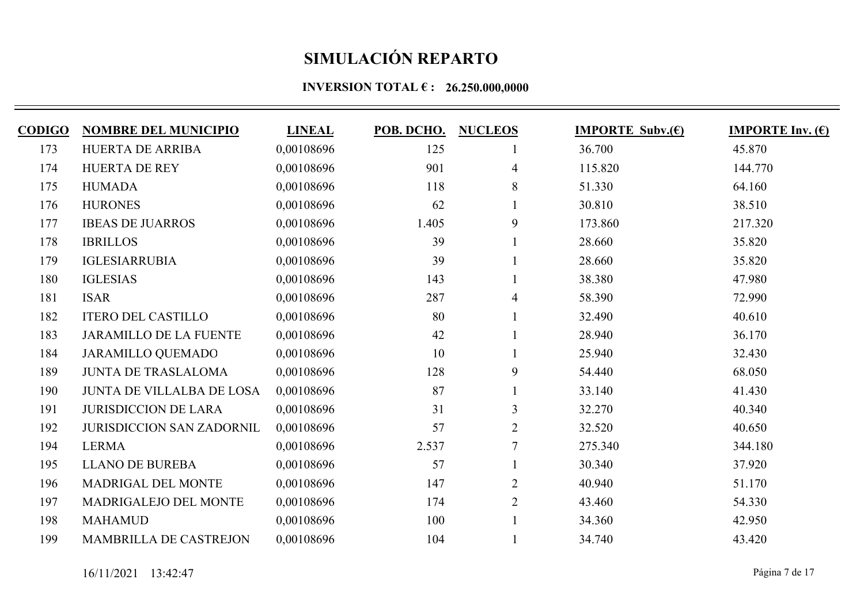| <b>CODIGO</b> | <b>NOMBRE DEL MUNICIPIO</b>      | <b>LINEAL</b> | POB. DCHO. | <b>NUCLEOS</b> | <b>IMPORTE Subv.(E)</b> | <b>IMPORTE Inv.</b> $(\epsilon)$ |
|---------------|----------------------------------|---------------|------------|----------------|-------------------------|----------------------------------|
| 173           | HUERTA DE ARRIBA                 | 0,00108696    | 125        |                | 36.700                  | 45.870                           |
| 174           | <b>HUERTA DE REY</b>             | 0,00108696    | 901        | $\overline{4}$ | 115.820                 | 144.770                          |
| 175           | <b>HUMADA</b>                    | 0,00108696    | 118        | 8              | 51.330                  | 64.160                           |
| 176           | <b>HURONES</b>                   | 0,00108696    | 62         |                | 30.810                  | 38.510                           |
| 177           | <b>IBEAS DE JUARROS</b>          | 0.00108696    | 1.405      | 9              | 173.860                 | 217.320                          |
| 178           | <b>IBRILLOS</b>                  | 0,00108696    | 39         |                | 28.660                  | 35.820                           |
| 179           | <b>IGLESIARRUBIA</b>             | 0,00108696    | 39         |                | 28.660                  | 35.820                           |
| 180           | <b>IGLESIAS</b>                  | 0,00108696    | 143        |                | 38.380                  | 47.980                           |
| 181           | <b>ISAR</b>                      | 0,00108696    | 287        | 4              | 58.390                  | 72.990                           |
| 182           | <b>ITERO DEL CASTILLO</b>        | 0,00108696    | 80         |                | 32.490                  | 40.610                           |
| 183           | <b>JARAMILLO DE LA FUENTE</b>    | 0,00108696    | 42         |                | 28.940                  | 36.170                           |
| 184           | <b>JARAMILLO QUEMADO</b>         | 0,00108696    | 10         |                | 25.940                  | 32.430                           |
| 189           | <b>JUNTA DE TRASLALOMA</b>       | 0,00108696    | 128        | 9              | 54.440                  | 68.050                           |
| 190           | <b>JUNTA DE VILLALBA DE LOSA</b> | 0,00108696    | 87         |                | 33.140                  | 41.430                           |
| 191           | <b>JURISDICCION DE LARA</b>      | 0,00108696    | 31         | 3              | 32.270                  | 40.340                           |
| 192           | <b>JURISDICCION SAN ZADORNIL</b> | 0,00108696    | 57         | $\overline{2}$ | 32.520                  | 40.650                           |
| 194           | <b>LERMA</b>                     | 0,00108696    | 2.537      | $\overline{7}$ | 275.340                 | 344.180                          |
| 195           | <b>LLANO DE BUREBA</b>           | 0,00108696    | 57         |                | 30.340                  | 37.920                           |
| 196           | MADRIGAL DEL MONTE               | 0,00108696    | 147        | $\overline{2}$ | 40.940                  | 51.170                           |
| 197           | MADRIGALEJO DEL MONTE            | 0,00108696    | 174        | $\overline{2}$ | 43.460                  | 54.330                           |
| 198           | <b>MAHAMUD</b>                   | 0,00108696    | 100        |                | 34.360                  | 42.950                           |
| 199           | <b>MAMBRILLA DE CASTREJON</b>    | 0,00108696    | 104        |                | 34.740                  | 43.420                           |
|               |                                  |               |            |                |                         |                                  |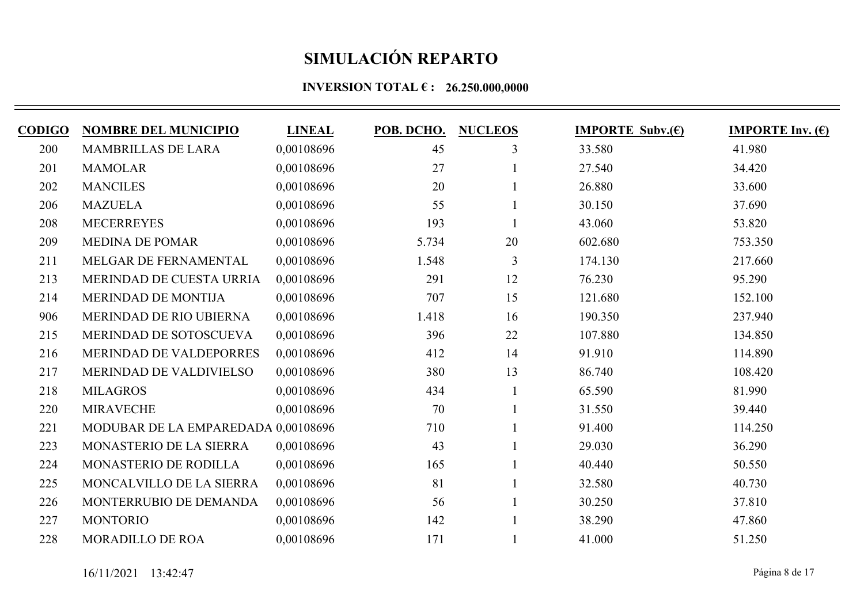| <b>CODIGO</b> | <b>NOMBRE DEL MUNICIPIO</b>         | <b>LINEAL</b> | POB. DCHO. | <b>NUCLEOS</b> | <b>IMPORTE Subv.(E)</b> | <b>IMPORTE Inv.</b> $(\epsilon)$ |
|---------------|-------------------------------------|---------------|------------|----------------|-------------------------|----------------------------------|
| 200           | <b>MAMBRILLAS DE LARA</b>           | 0,00108696    | 45         | 3              | 33.580                  | 41.980                           |
| 201           | <b>MAMOLAR</b>                      | 0,00108696    | 27         |                | 27.540                  | 34.420                           |
| 202           | <b>MANCILES</b>                     | 0,00108696    | 20         |                | 26.880                  | 33.600                           |
| 206           | <b>MAZUELA</b>                      | 0,00108696    | 55         |                | 30.150                  | 37.690                           |
| 208           | <b>MECERREYES</b>                   | 0.00108696    | 193        |                | 43.060                  | 53.820                           |
| 209           | <b>MEDINA DE POMAR</b>              | 0,00108696    | 5.734      | 20             | 602.680                 | 753.350                          |
| 211           | MELGAR DE FERNAMENTAL               | 0,00108696    | 1.548      | $\overline{3}$ | 174.130                 | 217.660                          |
| 213           | MERINDAD DE CUESTA URRIA            | 0,00108696    | 291        | 12             | 76.230                  | 95.290                           |
| 214           | MERINDAD DE MONTIJA                 | 0,00108696    | 707        | 15             | 121.680                 | 152.100                          |
| 906           | MERINDAD DE RIO UBIERNA             | 0,00108696    | 1.418      | 16             | 190.350                 | 237.940                          |
| 215           | MERINDAD DE SOTOSCUEVA              | 0,00108696    | 396        | 22             | 107.880                 | 134.850                          |
| 216           | MERINDAD DE VALDEPORRES             | 0,00108696    | 412        | 14             | 91.910                  | 114.890                          |
| 217           | MERINDAD DE VALDIVIELSO             | 0,00108696    | 380        | 13             | 86.740                  | 108.420                          |
| 218           | <b>MILAGROS</b>                     | 0,00108696    | 434        |                | 65.590                  | 81.990                           |
| 220           | <b>MIRAVECHE</b>                    | 0,00108696    | 70         |                | 31.550                  | 39.440                           |
| 221           | MODUBAR DE LA EMPAREDADA 0,00108696 |               | 710        |                | 91.400                  | 114.250                          |
| 223           | MONASTERIO DE LA SIERRA             | 0,00108696    | 43         |                | 29.030                  | 36.290                           |
| 224           | MONASTERIO DE RODILLA               | 0,00108696    | 165        |                | 40.440                  | 50.550                           |
| 225           | MONCALVILLO DE LA SIERRA            | 0,00108696    | 81         |                | 32.580                  | 40.730                           |
| 226           | MONTERRUBIO DE DEMANDA              | 0,00108696    | 56         |                | 30.250                  | 37.810                           |
| 227           | <b>MONTORIO</b>                     | 0,00108696    | 142        |                | 38.290                  | 47.860                           |
| 228           | <b>MORADILLO DE ROA</b>             | 0,00108696    | 171        |                | 41.000                  | 51.250                           |
|               |                                     |               |            |                |                         |                                  |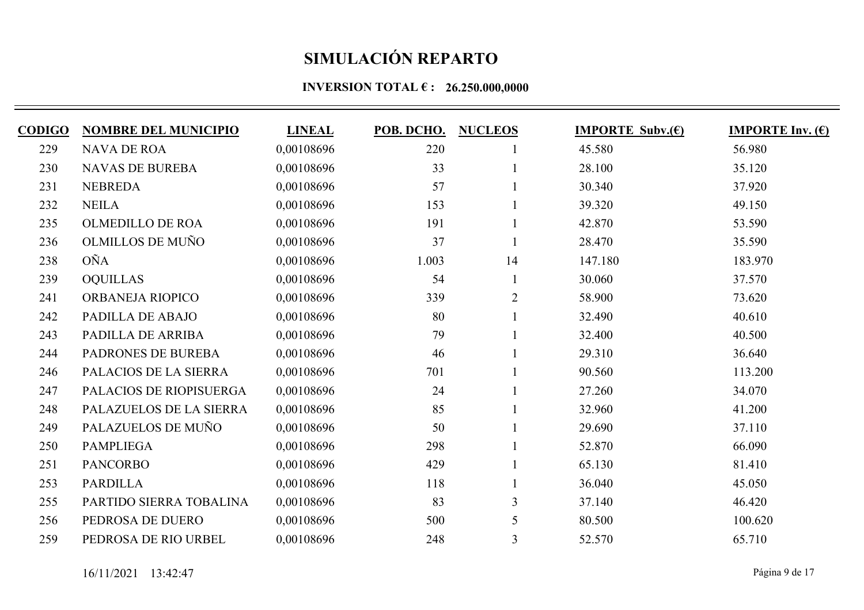| <b>CODIGO</b> | <b>NOMBRE DEL MUNICIPIO</b> | <b>LINEAL</b> | POB. DCHO. | <b>NUCLEOS</b> | <b>IMPORTE Subv.(E)</b> | <b>IMPORTE Inv. <math>(E)</math></b> |
|---------------|-----------------------------|---------------|------------|----------------|-------------------------|--------------------------------------|
| 229           | <b>NAVA DE ROA</b>          | 0,00108696    | 220        |                | 45.580                  | 56.980                               |
| 230           | <b>NAVAS DE BUREBA</b>      | 0,00108696    | 33         |                | 28.100                  | 35.120                               |
| 231           | <b>NEBREDA</b>              | 0,00108696    | 57         |                | 30.340                  | 37.920                               |
| 232           | <b>NEILA</b>                | 0,00108696    | 153        |                | 39.320                  | 49.150                               |
| 235           | <b>OLMEDILLO DE ROA</b>     | 0.00108696    | 191        |                | 42.870                  | 53.590                               |
| 236           | <b>OLMILLOS DE MUÑO</b>     | 0,00108696    | 37         |                | 28.470                  | 35.590                               |
| 238           | <b>OÑA</b>                  | 0.00108696    | 1.003      | 14             | 147.180                 | 183.970                              |
| 239           | <b>OQUILLAS</b>             | 0,00108696    | 54         |                | 30.060                  | 37.570                               |
| 241           | ORBANEJA RIOPICO            | 0,00108696    | 339        | $\overline{2}$ | 58.900                  | 73.620                               |
| 242           | PADILLA DE ABAJO            | 0,00108696    | 80         |                | 32.490                  | 40.610                               |
| 243           | PADILLA DE ARRIBA           | 0,00108696    | 79         |                | 32.400                  | 40.500                               |
| 244           | PADRONES DE BUREBA          | 0,00108696    | 46         |                | 29.310                  | 36.640                               |
| 246           | PALACIOS DE LA SIERRA       | 0,00108696    | 701        |                | 90.560                  | 113.200                              |
| 247           | PALACIOS DE RIOPISUERGA     | 0,00108696    | 24         |                | 27.260                  | 34.070                               |
| 248           | PALAZUELOS DE LA SIERRA     | 0,00108696    | 85         |                | 32.960                  | 41.200                               |
| 249           | PALAZUELOS DE MUÑO          | 0,00108696    | 50         |                | 29.690                  | 37.110                               |
| 250           | <b>PAMPLIEGA</b>            | 0,00108696    | 298        |                | 52.870                  | 66.090                               |
| 251           | <b>PANCORBO</b>             | 0,00108696    | 429        |                | 65.130                  | 81.410                               |
| 253           | <b>PARDILLA</b>             | 0,00108696    | 118        |                | 36.040                  | 45.050                               |
| 255           | PARTIDO SIERRA TOBALINA     | 0,00108696    | 83         | $\overline{3}$ | 37.140                  | 46.420                               |
| 256           | PEDROSA DE DUERO            | 0,00108696    | 500        | 5              | 80.500                  | 100.620                              |
| 259           | PEDROSA DE RIO URBEL        | 0,00108696    | 248        | 3              | 52.570                  | 65.710                               |
|               |                             |               |            |                |                         |                                      |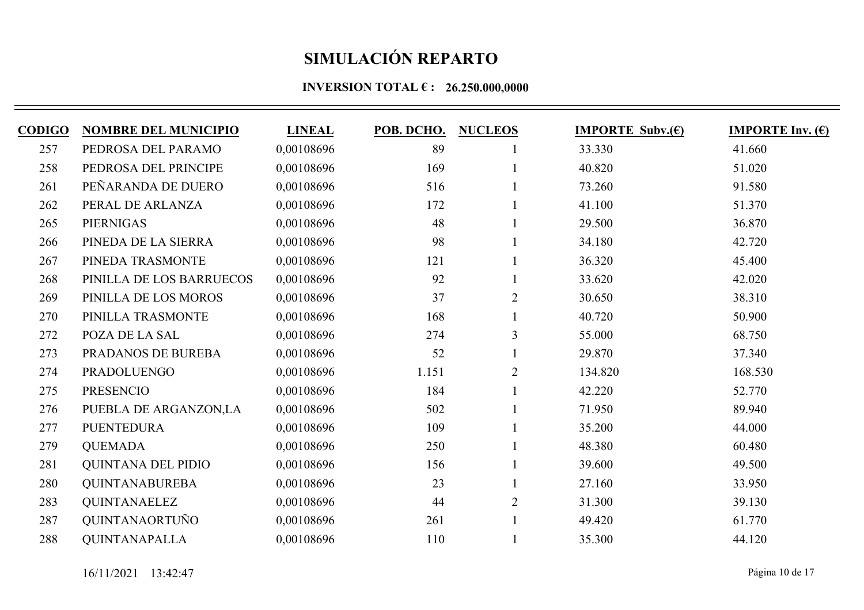| <b>CODIGO</b> | <b>NOMBRE DEL MUNICIPIO</b> | <b>LINEAL</b> | POB. DCHO. | <b>NUCLEOS</b> | <b>IMPORTE Subv.(E)</b> | <b>IMPORTE Inv. <math>(E)</math></b> |
|---------------|-----------------------------|---------------|------------|----------------|-------------------------|--------------------------------------|
| 257           | PEDROSA DEL PARAMO          | 0,00108696    | 89         |                | 33.330                  | 41.660                               |
| 258           | PEDROSA DEL PRINCIPE        | 0,00108696    | 169        |                | 40.820                  | 51.020                               |
| 261           | PEÑARANDA DE DUERO          | 0,00108696    | 516        |                | 73.260                  | 91.580                               |
| 262           | PERAL DE ARLANZA            | 0,00108696    | 172        |                | 41.100                  | 51.370                               |
| 265           | <b>PIERNIGAS</b>            | 0.00108696    | 48         |                | 29.500                  | 36.870                               |
| 266           | PINEDA DE LA SIERRA         | 0,00108696    | 98         |                | 34.180                  | 42.720                               |
| 267           | PINEDA TRASMONTE            | 0,00108696    | 121        |                | 36.320                  | 45.400                               |
| 268           | PINILLA DE LOS BARRUECOS    | 0,00108696    | 92         |                | 33.620                  | 42.020                               |
| 269           | PINILLA DE LOS MOROS        | 0,00108696    | 37         | $\overline{2}$ | 30.650                  | 38.310                               |
| 270           | PINILLA TRASMONTE           | 0,00108696    | 168        |                | 40.720                  | 50.900                               |
| 272           | POZA DE LA SAL              | 0,00108696    | 274        | 3              | 55.000                  | 68.750                               |
| 273           | PRADANOS DE BUREBA          | 0.00108696    | 52         |                | 29.870                  | 37.340                               |
| 274           | <b>PRADOLUENGO</b>          | 0,00108696    | 1.151      | $\overline{2}$ | 134.820                 | 168.530                              |
| 275           | <b>PRESENCIO</b>            | 0,00108696    | 184        |                | 42.220                  | 52.770                               |
| 276           | PUEBLA DE ARGANZON,LA       | 0,00108696    | 502        |                | 71.950                  | 89.940                               |
| 277           | <b>PUENTEDURA</b>           | 0,00108696    | 109        |                | 35.200                  | 44.000                               |
| 279           | <b>QUEMADA</b>              | 0,00108696    | 250        |                | 48.380                  | 60.480                               |
| 281           | <b>QUINTANA DEL PIDIO</b>   | 0,00108696    | 156        |                | 39.600                  | 49.500                               |
| 280           | <b>QUINTANABUREBA</b>       | 0,00108696    | 23         |                | 27.160                  | 33.950                               |
| 283           | <b>QUINTANAELEZ</b>         | 0,00108696    | 44         | $\overline{2}$ | 31.300                  | 39.130                               |
| 287           | QUINTANAORTUÑO              | 0,00108696    | 261        |                | 49.420                  | 61.770                               |
| 288           | <b>QUINTANAPALLA</b>        | 0,00108696    | 110        |                | 35.300                  | 44.120                               |
|               |                             |               |            |                |                         |                                      |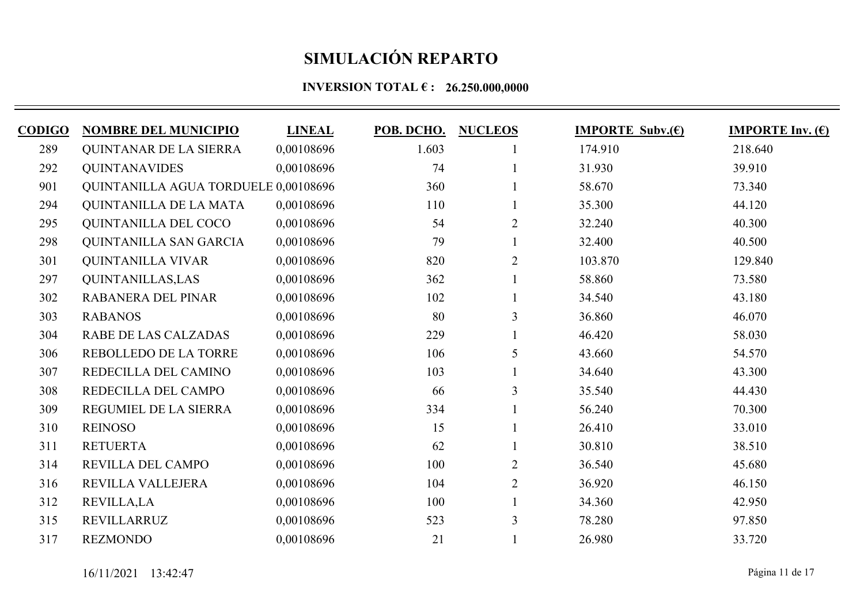| CODIGO | <b>NOMBRE DEL MUNICIPIO</b>          | <b>LINEAL</b> | POB. DCHO. | <b>NUCLEOS</b> | <b>IMPORTE Subv.(E)</b> | <b>IMPORTE Inv.</b> $(\epsilon)$ |
|--------|--------------------------------------|---------------|------------|----------------|-------------------------|----------------------------------|
| 289    | <b>QUINTANAR DE LA SIERRA</b>        | 0,00108696    | 1.603      |                | 174.910                 | 218.640                          |
| 292    | <b>QUINTANAVIDES</b>                 | 0,00108696    | 74         |                | 31.930                  | 39.910                           |
| 901    | QUINTANILLA AGUA TORDUELE 0,00108696 |               | 360        |                | 58.670                  | 73.340                           |
| 294    | QUINTANILLA DE LA MATA               | 0,00108696    | 110        |                | 35.300                  | 44.120                           |
| 295    | <b>OUINTANILLA DEL COCO</b>          | 0,00108696    | 54         | $\overline{2}$ | 32.240                  | 40.300                           |
| 298    | QUINTANILLA SAN GARCIA               | 0,00108696    | 79         |                | 32.400                  | 40.500                           |
| 301    | <b>QUINTANILLA VIVAR</b>             | 0,00108696    | 820        | $\overline{2}$ | 103.870                 | 129.840                          |
| 297    | <b>QUINTANILLAS, LAS</b>             | 0,00108696    | 362        |                | 58.860                  | 73.580                           |
| 302    | RABANERA DEL PINAR                   | 0,00108696    | 102        |                | 34.540                  | 43.180                           |
| 303    | <b>RABANOS</b>                       | 0,00108696    | 80         | 3              | 36.860                  | 46.070                           |
| 304    | RABE DE LAS CALZADAS                 | 0,00108696    | 229        |                | 46.420                  | 58.030                           |
| 306    | REBOLLEDO DE LA TORRE                | 0,00108696    | 106        | 5              | 43.660                  | 54.570                           |
| 307    | REDECILLA DEL CAMINO                 | 0,00108696    | 103        |                | 34.640                  | 43.300                           |
| 308    | REDECILLA DEL CAMPO                  | 0,00108696    | 66         | 3              | 35.540                  | 44.430                           |
| 309    | REGUMIEL DE LA SIERRA                | 0,00108696    | 334        |                | 56.240                  | 70.300                           |
| 310    | <b>REINOSO</b>                       | 0,00108696    | 15         |                | 26.410                  | 33.010                           |
| 311    | <b>RETUERTA</b>                      | 0,00108696    | 62         |                | 30.810                  | 38.510                           |
| 314    | REVILLA DEL CAMPO                    | 0,00108696    | 100        | $\overline{2}$ | 36.540                  | 45.680                           |
| 316    | REVILLA VALLEJERA                    | 0,00108696    | 104        | $\overline{2}$ | 36.920                  | 46.150                           |
| 312    | <b>REVILLA,LA</b>                    | 0,00108696    | 100        |                | 34.360                  | 42.950                           |
| 315    | REVILLARRUZ                          | 0,00108696    | 523        | 3              | 78.280                  | 97.850                           |
| 317    | <b>REZMONDO</b>                      | 0,00108696    | 21         |                | 26.980                  | 33.720                           |
|        |                                      |               |            |                |                         |                                  |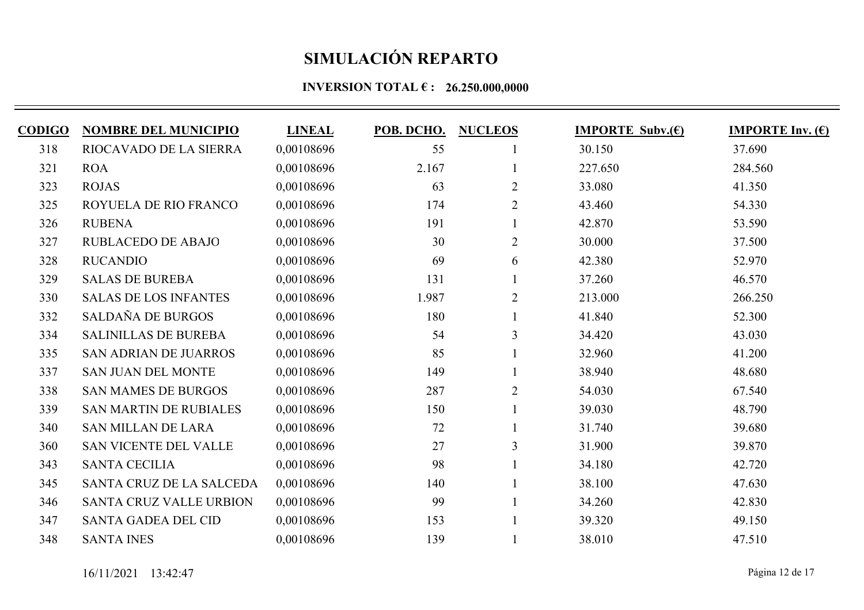| <b>CODIGO</b> | <b>NOMBRE DEL MUNICIPIO</b>    | <b>LINEAL</b> | POB. DCHO. | <b>NUCLEOS</b> | <b>IMPORTE Subv.(E)</b> | <b>IMPORTE Inv.</b> $(\epsilon)$ |
|---------------|--------------------------------|---------------|------------|----------------|-------------------------|----------------------------------|
| 318           | RIOCAVADO DE LA SIERRA         | 0,00108696    | 55         |                | 30.150                  | 37.690                           |
| 321           | <b>ROA</b>                     | 0,00108696    | 2.167      |                | 227.650                 | 284.560                          |
| 323           | <b>ROJAS</b>                   | 0,00108696    | 63         | $\overline{2}$ | 33.080                  | 41.350                           |
| 325           | ROYUELA DE RIO FRANCO          | 0,00108696    | 174        | $\overline{2}$ | 43.460                  | 54.330                           |
| 326           | <b>RUBENA</b>                  | 0.00108696    | 191        |                | 42.870                  | 53.590                           |
| 327           | <b>RUBLACEDO DE ABAJO</b>      | 0,00108696    | 30         | $\overline{2}$ | 30.000                  | 37.500                           |
| 328           | <b>RUCANDIO</b>                | 0.00108696    | 69         | 6              | 42.380                  | 52.970                           |
| 329           | <b>SALAS DE BUREBA</b>         | 0,00108696    | 131        |                | 37.260                  | 46.570                           |
| 330           | <b>SALAS DE LOS INFANTES</b>   | 0,00108696    | 1.987      | $\overline{2}$ | 213.000                 | 266.250                          |
| 332           | SALDAÑA DE BURGOS              | 0,00108696    | 180        |                | 41.840                  | 52.300                           |
| 334           | <b>SALINILLAS DE BUREBA</b>    | 0,00108696    | 54         | 3              | 34.420                  | 43.030                           |
| 335           | <b>SAN ADRIAN DE JUARROS</b>   | 0.00108696    | 85         |                | 32.960                  | 41.200                           |
| 337           | <b>SAN JUAN DEL MONTE</b>      | 0,00108696    | 149        |                | 38.940                  | 48.680                           |
| 338           | <b>SAN MAMES DE BURGOS</b>     | 0,00108696    | 287        | $\overline{2}$ | 54.030                  | 67.540                           |
| 339           | <b>SAN MARTIN DE RUBIALES</b>  | 0,00108696    | 150        |                | 39.030                  | 48.790                           |
| 340           | <b>SAN MILLAN DE LARA</b>      | 0,00108696    | 72         |                | 31.740                  | 39.680                           |
| 360           | <b>SAN VICENTE DEL VALLE</b>   | 0,00108696    | 27         | 3              | 31.900                  | 39.870                           |
| 343           | <b>SANTA CECILIA</b>           | 0,00108696    | 98         |                | 34.180                  | 42.720                           |
| 345           | SANTA CRUZ DE LA SALCEDA       | 0,00108696    | 140        |                | 38.100                  | 47.630                           |
| 346           | <b>SANTA CRUZ VALLE URBION</b> | 0,00108696    | 99         |                | 34.260                  | 42.830                           |
| 347           | <b>SANTA GADEA DEL CID</b>     | 0,00108696    | 153        |                | 39.320                  | 49.150                           |
| 348           | <b>SANTA INES</b>              | 0,00108696    | 139        |                | 38.010                  | 47.510                           |
|               |                                |               |            |                |                         |                                  |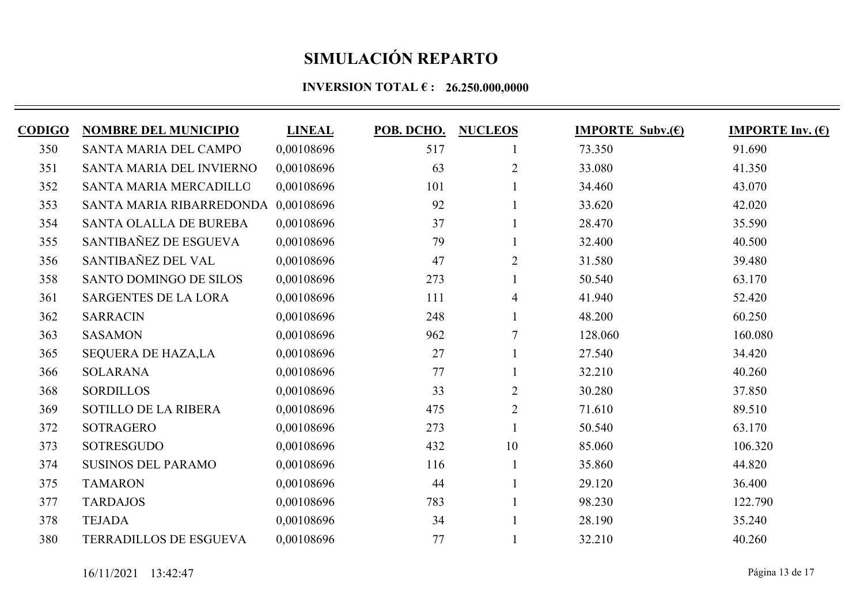| <b>CODIGO</b> | <b>NOMBRE DEL MUNICIPIO</b>         | <b>LINEAL</b> | POB. DCHO. | <b>NUCLEOS</b> | <b>IMPORTE Subv.(E)</b> | <b>IMPORTE Inv.</b> $(\epsilon)$ |
|---------------|-------------------------------------|---------------|------------|----------------|-------------------------|----------------------------------|
| 350           | SANTA MARIA DEL CAMPO               | 0,00108696    | 517        |                | 73.350                  | 91.690                           |
| 351           | SANTA MARIA DEL INVIERNO            | 0,00108696    | 63         | $\overline{2}$ | 33.080                  | 41.350                           |
| 352           | <b>SANTA MARIA MERCADILLO</b>       | 0,00108696    | 101        |                | 34.460                  | 43.070                           |
| 353           | SANTA MARIA RIBARREDONDA 0,00108696 |               | 92         |                | 33.620                  | 42.020                           |
| 354           | SANTA OLALLA DE BUREBA              | 0.00108696    | 37         |                | 28.470                  | 35.590                           |
| 355           | SANTIBAÑEZ DE ESGUEVA               | 0,00108696    | 79         |                | 32.400                  | 40.500                           |
| 356           | SANTIBAÑEZ DEL VAL                  | 0.00108696    | 47         | $\overline{2}$ | 31.580                  | 39.480                           |
| 358           | <b>SANTO DOMINGO DE SILOS</b>       | 0,00108696    | 273        |                | 50.540                  | 63.170                           |
| 361           | <b>SARGENTES DE LA LORA</b>         | 0,00108696    | 111        | 4              | 41.940                  | 52.420                           |
| 362           | <b>SARRACIN</b>                     | 0,00108696    | 248        |                | 48.200                  | 60.250                           |
| 363           | <b>SASAMON</b>                      | 0,00108696    | 962        | $\tau$         | 128.060                 | 160.080                          |
| 365           | <b>SEQUERA DE HAZA,LA</b>           | 0.00108696    | 27         |                | 27.540                  | 34.420                           |
| 366           | <b>SOLARANA</b>                     | 0,00108696    | 77         |                | 32.210                  | 40.260                           |
| 368           | <b>SORDILLOS</b>                    | 0,00108696    | 33         | $\overline{2}$ | 30.280                  | 37.850                           |
| 369           | <b>SOTILLO DE LA RIBERA</b>         | 0,00108696    | 475        | $\overline{2}$ | 71.610                  | 89.510                           |
| 372           | <b>SOTRAGERO</b>                    | 0,00108696    | 273        |                | 50.540                  | 63.170                           |
| 373           | <b>SOTRESGUDO</b>                   | 0,00108696    | 432        | 10             | 85.060                  | 106.320                          |
| 374           | <b>SUSINOS DEL PARAMO</b>           | 0,00108696    | 116        |                | 35.860                  | 44.820                           |
| 375           | <b>TAMARON</b>                      | 0,00108696    | 44         |                | 29.120                  | 36.400                           |
| 377           | <b>TARDAJOS</b>                     | 0,00108696    | 783        |                | 98.230                  | 122.790                          |
| 378           | <b>TEJADA</b>                       | 0,00108696    | 34         |                | 28.190                  | 35.240                           |
| 380           | <b>TERRADILLOS DE ESGUEVA</b>       | 0,00108696    | 77         |                | 32.210                  | 40.260                           |
|               |                                     |               |            |                |                         |                                  |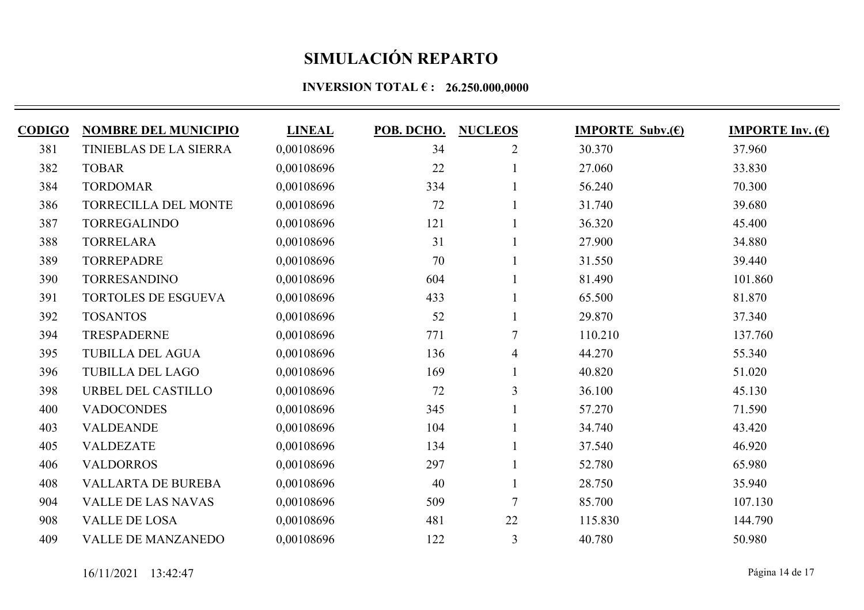| <b>CODIGO</b> | <b>NOMBRE DEL MUNICIPIO</b>   | <b>LINEAL</b> | POB. DCHO. | <b>NUCLEOS</b> | <b>IMPORTE Subv.(E)</b> | <b>IMPORTE Inv. <math>(E)</math></b> |
|---------------|-------------------------------|---------------|------------|----------------|-------------------------|--------------------------------------|
| 381           | <b>TINIEBLAS DE LA SIERRA</b> | 0,00108696    | 34         | $\overline{2}$ | 30.370                  | 37.960                               |
| 382           | <b>TOBAR</b>                  | 0,00108696    | 22         |                | 27.060                  | 33.830                               |
| 384           | <b>TORDOMAR</b>               | 0,00108696    | 334        |                | 56.240                  | 70.300                               |
| 386           | TORRECILLA DEL MONTE          | 0,00108696    | 72         |                | 31.740                  | 39.680                               |
| 387           | <b>TORREGALINDO</b>           | 0,00108696    | 121        |                | 36.320                  | 45.400                               |
| 388           | <b>TORRELARA</b>              | 0,00108696    | 31         |                | 27.900                  | 34.880                               |
| 389           | <b>TORREPADRE</b>             | 0,00108696    | 70         |                | 31.550                  | 39.440                               |
| 390           | <b>TORRESANDINO</b>           | 0,00108696    | 604        |                | 81.490                  | 101.860                              |
| 391           | <b>TORTOLES DE ESGUEVA</b>    | 0,00108696    | 433        |                | 65.500                  | 81.870                               |
| 392           | <b>TOSANTOS</b>               | 0,00108696    | 52         |                | 29.870                  | 37.340                               |
| 394           | <b>TRESPADERNE</b>            | 0,00108696    | 771        | $\tau$         | 110.210                 | 137.760                              |
| 395           | <b>TUBILLA DEL AGUA</b>       | 0,00108696    | 136        | 4              | 44.270                  | 55.340                               |
| 396           | <b>TUBILLA DEL LAGO</b>       | 0,00108696    | 169        |                | 40.820                  | 51.020                               |
| 398           | URBEL DEL CASTILLO            | 0,00108696    | 72         | $\overline{3}$ | 36.100                  | 45.130                               |
| 400           | <b>VADOCONDES</b>             | 0,00108696    | 345        |                | 57.270                  | 71.590                               |
| 403           | <b>VALDEANDE</b>              | 0,00108696    | 104        |                | 34.740                  | 43.420                               |
| 405           | <b>VALDEZATE</b>              | 0,00108696    | 134        |                | 37.540                  | 46.920                               |
| 406           | <b>VALDORROS</b>              | 0,00108696    | 297        |                | 52.780                  | 65.980                               |
| 408           | <b>VALLARTA DE BUREBA</b>     | 0,00108696    | 40         |                | 28.750                  | 35.940                               |
| 904           | <b>VALLE DE LAS NAVAS</b>     | 0,00108696    | 509        | $\overline{7}$ | 85.700                  | 107.130                              |
| 908           | VALLE DE LOSA                 | 0,00108696    | 481        | 22             | 115.830                 | 144.790                              |
| 409           | <b>VALLE DE MANZANEDO</b>     | 0,00108696    | 122        | 3              | 40.780                  | 50.980                               |
|               |                               |               |            |                |                         |                                      |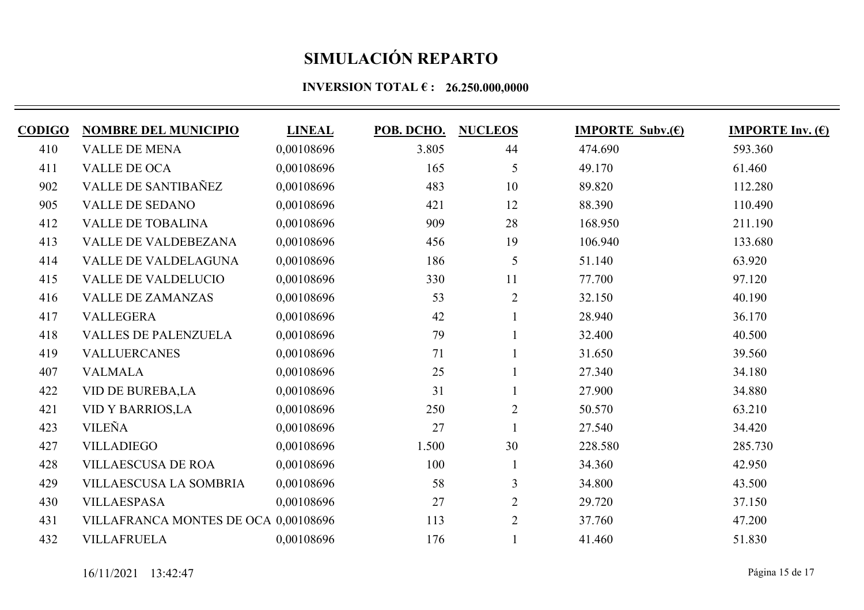| <b>CODIGO</b> | <b>NOMBRE DEL MUNICIPIO</b>          | <b>LINEAL</b> | POB. DCHO. | <b>NUCLEOS</b> | <b>IMPORTE Subv.(E)</b> | <b>IMPORTE Inv.</b> $(\epsilon)$ |
|---------------|--------------------------------------|---------------|------------|----------------|-------------------------|----------------------------------|
| 410           | <b>VALLE DE MENA</b>                 | 0,00108696    | 3.805      | 44             | 474.690                 | 593.360                          |
| 411           | VALLE DE OCA                         | 0,00108696    | 165        | 5              | 49.170                  | 61.460                           |
| 902           | <b>VALLE DE SANTIBAÑEZ</b>           | 0,00108696    | 483        | 10             | 89.820                  | 112.280                          |
| 905           | <b>VALLE DE SEDANO</b>               | 0,00108696    | 421        | 12             | 88.390                  | 110.490                          |
| 412           | <b>VALLE DE TOBALINA</b>             | 0,00108696    | 909        | 28             | 168.950                 | 211.190                          |
| 413           | <b>VALLE DE VALDEBEZANA</b>          | 0,00108696    | 456        | 19             | 106.940                 | 133.680                          |
| 414           | <b>VALLE DE VALDELAGUNA</b>          | 0,00108696    | 186        | 5              | 51.140                  | 63.920                           |
| 415           | <b>VALLE DE VALDELUCIO</b>           | 0,00108696    | 330        | 11             | 77.700                  | 97.120                           |
| 416           | <b>VALLE DE ZAMANZAS</b>             | 0,00108696    | 53         | $\overline{2}$ | 32.150                  | 40.190                           |
| 417           | <b>VALLEGERA</b>                     | 0,00108696    | 42         |                | 28.940                  | 36.170                           |
| 418           | <b>VALLES DE PALENZUELA</b>          | 0,00108696    | 79         |                | 32.400                  | 40.500                           |
| 419           | <b>VALLUERCANES</b>                  | 0,00108696    | 71         |                | 31.650                  | 39.560                           |
| 407           | <b>VALMALA</b>                       | 0,00108696    | 25         |                | 27.340                  | 34.180                           |
| 422           | <b>VID DE BUREBA,LA</b>              | 0,00108696    | 31         |                | 27.900                  | 34.880                           |
| 421           | <b>VID Y BARRIOS,LA</b>              | 0,00108696    | 250        | $\overline{2}$ | 50.570                  | 63.210                           |
| 423           | <b>VILEÑA</b>                        | 0,00108696    | 27         |                | 27.540                  | 34.420                           |
| 427           | <b>VILLADIEGO</b>                    | 0,00108696    | 1.500      | 30             | 228.580                 | 285.730                          |
| 428           | <b>VILLAESCUSA DE ROA</b>            | 0,00108696    | 100        | $\mathbf{1}$   | 34.360                  | 42.950                           |
| 429           | VILLAESCUSA LA SOMBRIA               | 0,00108696    | 58         | 3              | 34.800                  | 43.500                           |
| 430           | <b>VILLAESPASA</b>                   | 0,00108696    | 27         | $\overline{2}$ | 29.720                  | 37.150                           |
| 431           | VILLAFRANCA MONTES DE OCA 0,00108696 |               | 113        | $\overline{2}$ | 37.760                  | 47.200                           |
| 432           | <b>VILLAFRUELA</b>                   | 0,00108696    | 176        |                | 41.460                  | 51.830                           |
|               |                                      |               |            |                |                         |                                  |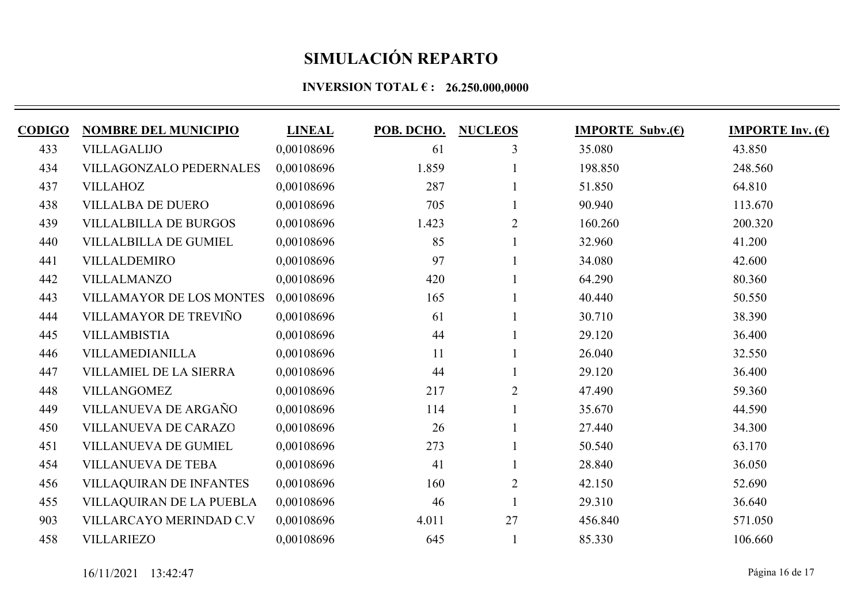| <b>CODIGO</b> | <b>NOMBRE DEL MUNICIPIO</b>     | <b>LINEAL</b> | POB. DCHO. | <b>NUCLEOS</b> | <b>IMPORTE Subv.</b> $(\epsilon)$ | <b>IMPORTE Inv.</b> $(\epsilon)$ |
|---------------|---------------------------------|---------------|------------|----------------|-----------------------------------|----------------------------------|
| 433           | <b>VILLAGALIJO</b>              | 0,00108696    | 61         | 3              | 35.080                            | 43.850                           |
| 434           | <b>VILLAGONZALO PEDERNALES</b>  | 0,00108696    | 1.859      |                | 198.850                           | 248.560                          |
| 437           | <b>VILLAHOZ</b>                 | 0,00108696    | 287        |                | 51.850                            | 64.810                           |
| 438           | <b>VILLALBA DE DUERO</b>        | 0,00108696    | 705        |                | 90.940                            | 113.670                          |
| 439           | <b>VILLALBILLA DE BURGOS</b>    | 0.00108696    | 1.423      | $\overline{2}$ | 160.260                           | 200.320                          |
| 440           | <b>VILLALBILLA DE GUMIEL</b>    | 0,00108696    | 85         |                | 32.960                            | 41.200                           |
| 441           | <b>VILLALDEMIRO</b>             | 0,00108696    | 97         |                | 34.080                            | 42.600                           |
| 442           | <b>VILLALMANZO</b>              | 0,00108696    | 420        |                | 64.290                            | 80.360                           |
| 443           | <b>VILLAMAYOR DE LOS MONTES</b> | 0,00108696    | 165        |                | 40.440                            | 50.550                           |
| 444           | VILLAMAYOR DE TREVIÑO           | 0,00108696    | 61         |                | 30.710                            | 38.390                           |
| 445           | <b>VILLAMBISTIA</b>             | 0,00108696    | 44         |                | 29.120                            | 36.400                           |
| 446           | VILLAMEDIANILLA                 | 0.00108696    | 11         |                | 26.040                            | 32.550                           |
| 447           | VILLAMIEL DE LA SIERRA          | 0,00108696    | 44         |                | 29.120                            | 36.400                           |
| 448           | <b>VILLANGOMEZ</b>              | 0,00108696    | 217        | $\overline{2}$ | 47.490                            | 59.360                           |
| 449           | VILLANUEVA DE ARGAÑO            | 0,00108696    | 114        |                | 35.670                            | 44.590                           |
| 450           | <b>VILLANUEVA DE CARAZO</b>     | 0,00108696    | 26         |                | 27.440                            | 34.300                           |
| 451           | <b>VILLANUEVA DE GUMIEL</b>     | 0,00108696    | 273        |                | 50.540                            | 63.170                           |
| 454           | <b>VILLANUEVA DE TEBA</b>       | 0,00108696    | 41         |                | 28.840                            | 36.050                           |
| 456           | <b>VILLAQUIRAN DE INFANTES</b>  | 0,00108696    | 160        | $\overline{2}$ | 42.150                            | 52.690                           |
| 455           | VILLAQUIRAN DE LA PUEBLA        | 0,00108696    | 46         |                | 29.310                            | 36.640                           |
| 903           | VILLARCAYO MERINDAD C.V         | 0,00108696    | 4.011      | 27             | 456.840                           | 571.050                          |
| 458           | <b>VILLARIEZO</b>               | 0,00108696    | 645        |                | 85.330                            | 106.660                          |
|               |                                 |               |            |                |                                   |                                  |